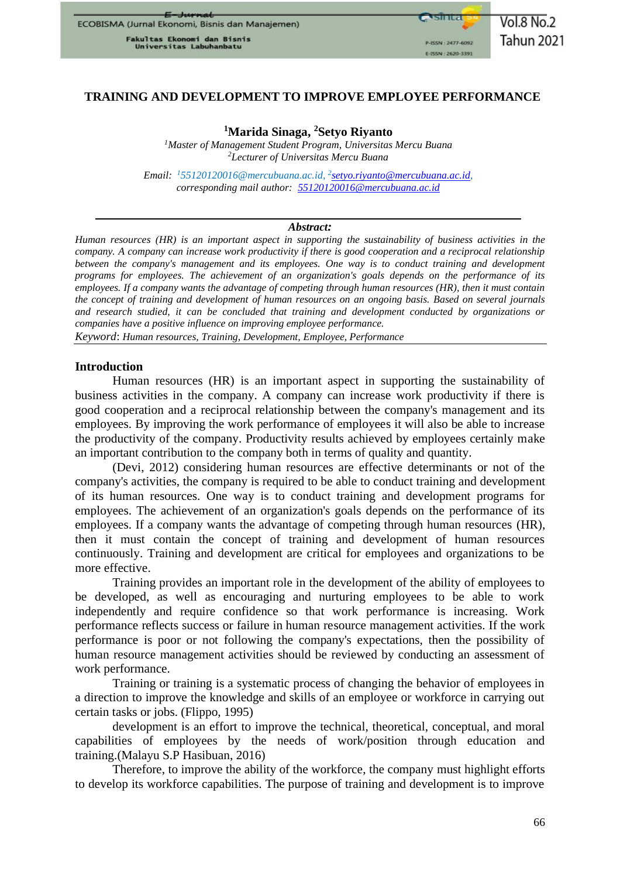Fakultas Ekonomi dan Bisnis<br>Universitas Labuhanbatu

# **TRAINING AND DEVELOPMENT TO IMPROVE EMPLOYEE PERFORMANCE**

# **<sup>1</sup>Marida Sinaga, <sup>2</sup>Setyo Riyanto**

*<sup>1</sup>Master of Management Student Program, Universitas Mercu Buana <sup>2</sup>Lecturer of Universitas Mercu Buana*

*Email: <sup>1</sup>55120120016@mercubuana.ac.id, 2 [setyo.riyanto@mercubuana.ac.id,](mailto:setyo.riyanto@mercubuana.ac.id) corresponding mail author: [55120120016@mercubuana.ac.id](mailto:55120120016@mercubuana.ac.id)*

#### *Abstract:*

*Human resources (HR) is an important aspect in supporting the sustainability of business activities in the company. A company can increase work productivity if there is good cooperation and a reciprocal relationship between the company's management and its employees. One way is to conduct training and development programs for employees. The achievement of an organization's goals depends on the performance of its employees. If a company wants the advantage of competing through human resources (HR), then it must contain the concept of training and development of human resources on an ongoing basis. Based on several journals and research studied, it can be concluded that training and development conducted by organizations or companies have a positive influence on improving employee performance.*

*Keyword*: *Human resources, Training, Development, Employee, Performance*

#### **Introduction**

Human resources (HR) is an important aspect in supporting the sustainability of business activities in the company. A company can increase work productivity if there is good cooperation and a reciprocal relationship between the company's management and its employees. By improving the work performance of employees it will also be able to increase the productivity of the company. Productivity results achieved by employees certainly make an important contribution to the company both in terms of quality and quantity.

(Devi, 2012) considering human resources are effective determinants or not of the company's activities, the company is required to be able to conduct training and development of its human resources. One way is to conduct training and development programs for employees. The achievement of an organization's goals depends on the performance of its employees. If a company wants the advantage of competing through human resources (HR), then it must contain the concept of training and development of human resources continuously. Training and development are critical for employees and organizations to be more effective.

Training provides an important role in the development of the ability of employees to be developed, as well as encouraging and nurturing employees to be able to work independently and require confidence so that work performance is increasing. Work performance reflects success or failure in human resource management activities. If the work performance is poor or not following the company's expectations, then the possibility of human resource management activities should be reviewed by conducting an assessment of work performance.

Training or training is a systematic process of changing the behavior of employees in a direction to improve the knowledge and skills of an employee or workforce in carrying out certain tasks or jobs. (Flippo, 1995)

development is an effort to improve the technical, theoretical, conceptual, and moral capabilities of employees by the needs of work/position through education and training.(Malayu S.P Hasibuan, 2016)

Therefore, to improve the ability of the workforce, the company must highlight efforts to develop its workforce capabilities. The purpose of training and development is to improve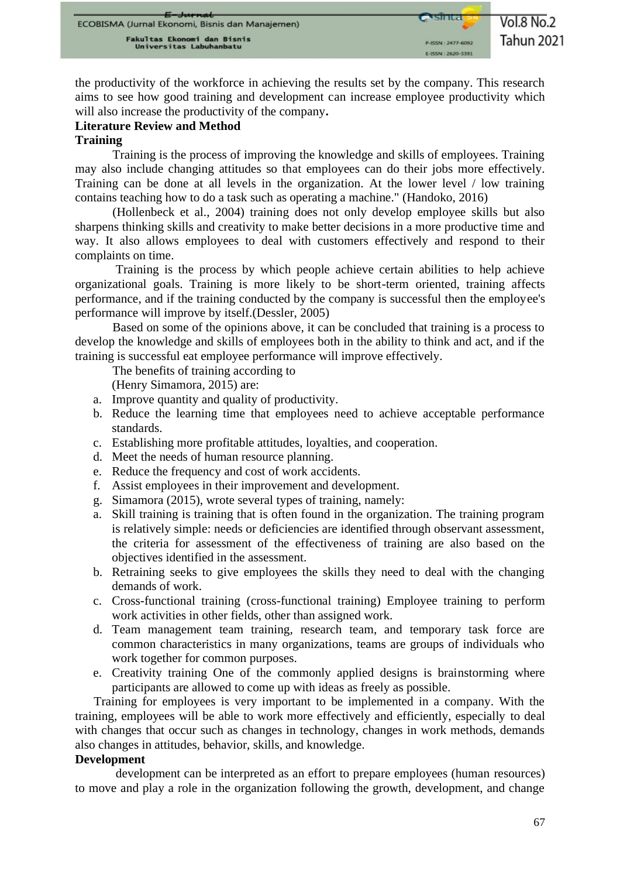the productivity of the workforce in achieving the results set by the company. This research aims to see how good training and development can increase employee productivity which will also increase the productivity of the company**.**

# **Literature Review and Method**

## **Training**

Training is the process of improving the knowledge and skills of employees. Training may also include changing attitudes so that employees can do their jobs more effectively. Training can be done at all levels in the organization. At the lower level / low training contains teaching how to do a task such as operating a machine." (Handoko, 2016)

(Hollenbeck et al., 2004) training does not only develop employee skills but also sharpens thinking skills and creativity to make better decisions in a more productive time and way. It also allows employees to deal with customers effectively and respond to their complaints on time.

Training is the process by which people achieve certain abilities to help achieve organizational goals. Training is more likely to be short-term oriented, training affects performance, and if the training conducted by the company is successful then the employee's performance will improve by itself.(Dessler, 2005)

Based on some of the opinions above, it can be concluded that training is a process to develop the knowledge and skills of employees both in the ability to think and act, and if the training is successful eat employee performance will improve effectively.

The benefits of training according to

(Henry Simamora, 2015) are:

- a. Improve quantity and quality of productivity.
- b. Reduce the learning time that employees need to achieve acceptable performance standards.
- c. Establishing more profitable attitudes, loyalties, and cooperation.
- d. Meet the needs of human resource planning.
- e. Reduce the frequency and cost of work accidents.
- f. Assist employees in their improvement and development.
- g. Simamora (2015), wrote several types of training, namely:
- a. Skill training is training that is often found in the organization. The training program is relatively simple: needs or deficiencies are identified through observant assessment, the criteria for assessment of the effectiveness of training are also based on the objectives identified in the assessment.
- b. Retraining seeks to give employees the skills they need to deal with the changing demands of work.
- c. Cross-functional training (cross-functional training) Employee training to perform work activities in other fields, other than assigned work.
- d. Team management team training, research team, and temporary task force are common characteristics in many organizations, teams are groups of individuals who work together for common purposes.
- e. Creativity training One of the commonly applied designs is brainstorming where participants are allowed to come up with ideas as freely as possible.

Training for employees is very important to be implemented in a company. With the training, employees will be able to work more effectively and efficiently, especially to deal with changes that occur such as changes in technology, changes in work methods, demands also changes in attitudes, behavior, skills, and knowledge.

### **Development**

development can be interpreted as an effort to prepare employees (human resources) to move and play a role in the organization following the growth, development, and change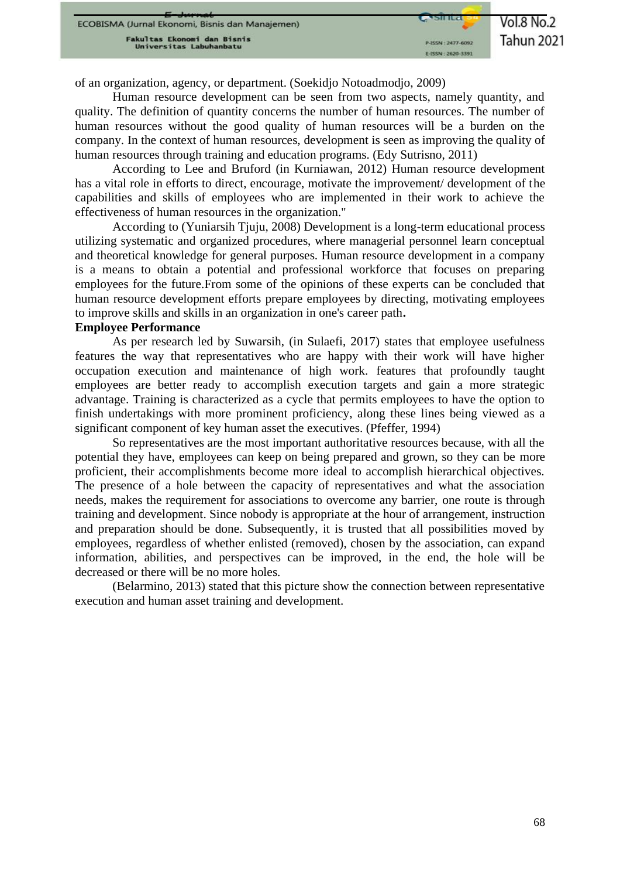$Vol.8$  No.2 **Tahun 2021** 

of an organization, agency, or department. (Soekidjo Notoadmodjo, 2009)

Human resource development can be seen from two aspects, namely quantity, and quality. The definition of quantity concerns the number of human resources. The number of human resources without the good quality of human resources will be a burden on the company. In the context of human resources, development is seen as improving the quality of human resources through training and education programs. (Edy Sutrisno, 2011)

According to Lee and Bruford (in Kurniawan, 2012) Human resource development has a vital role in efforts to direct, encourage, motivate the improvement/ development of the capabilities and skills of employees who are implemented in their work to achieve the effectiveness of human resources in the organization."

According to (Yuniarsih Tjuju, 2008) Development is a long-term educational process utilizing systematic and organized procedures, where managerial personnel learn conceptual and theoretical knowledge for general purposes. Human resource development in a company is a means to obtain a potential and professional workforce that focuses on preparing employees for the future.From some of the opinions of these experts can be concluded that human resource development efforts prepare employees by directing, motivating employees to improve skills and skills in an organization in one's career path**.**

#### **Employee Performance**

As per research led by Suwarsih, (in Sulaefi, 2017) states that employee usefulness features the way that representatives who are happy with their work will have higher occupation execution and maintenance of high work. features that profoundly taught employees are better ready to accomplish execution targets and gain a more strategic advantage. Training is characterized as a cycle that permits employees to have the option to finish undertakings with more prominent proficiency, along these lines being viewed as a significant component of key human asset the executives. (Pfeffer, 1994)

So representatives are the most important authoritative resources because, with all the potential they have, employees can keep on being prepared and grown, so they can be more proficient, their accomplishments become more ideal to accomplish hierarchical objectives. The presence of a hole between the capacity of representatives and what the association needs, makes the requirement for associations to overcome any barrier, one route is through training and development. Since nobody is appropriate at the hour of arrangement, instruction and preparation should be done. Subsequently, it is trusted that all possibilities moved by employees, regardless of whether enlisted (removed), chosen by the association, can expand information, abilities, and perspectives can be improved, in the end, the hole will be decreased or there will be no more holes.

(Belarmino, 2013) stated that this picture show the connection between representative execution and human asset training and development.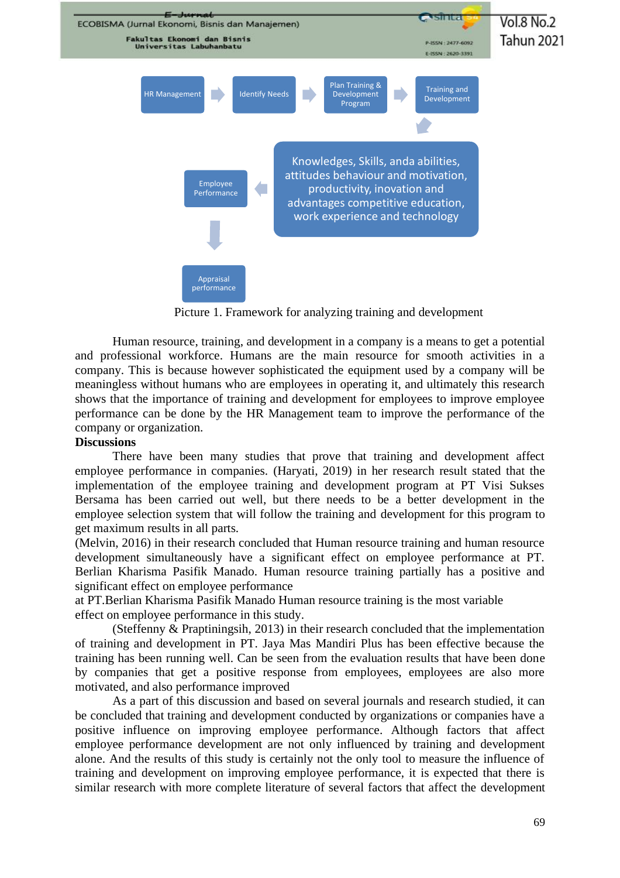

Picture 1. Framework for analyzing training and development

Human resource, training, and development in a company is a means to get a potential and professional workforce. Humans are the main resource for smooth activities in a company. This is because however sophisticated the equipment used by a company will be meaningless without humans who are employees in operating it, and ultimately this research shows that the importance of training and development for employees to improve employee performance can be done by the HR Management team to improve the performance of the company or organization.

#### **Discussions**

There have been many studies that prove that training and development affect employee performance in companies. (Haryati, 2019) in her research result stated that the implementation of the employee training and development program at PT Visi Sukses Bersama has been carried out well, but there needs to be a better development in the employee selection system that will follow the training and development for this program to get maximum results in all parts.

(Melvin, 2016) in their research concluded that Human resource training and human resource development simultaneously have a significant effect on employee performance at PT. Berlian Kharisma Pasifik Manado. Human resource training partially has a positive and significant effect on employee performance

at PT.Berlian Kharisma Pasifik Manado Human resource training is the most variable effect on employee performance in this study.

(Steffenny & Praptiningsih, 2013) in their research concluded that the implementation of training and development in PT. Jaya Mas Mandiri Plus has been effective because the training has been running well. Can be seen from the evaluation results that have been done by companies that get a positive response from employees, employees are also more motivated, and also performance improved

As a part of this discussion and based on several journals and research studied, it can be concluded that training and development conducted by organizations or companies have a positive influence on improving employee performance. Although factors that affect employee performance development are not only influenced by training and development alone. And the results of this study is certainly not the only tool to measure the influence of training and development on improving employee performance, it is expected that there is similar research with more complete literature of several factors that affect the development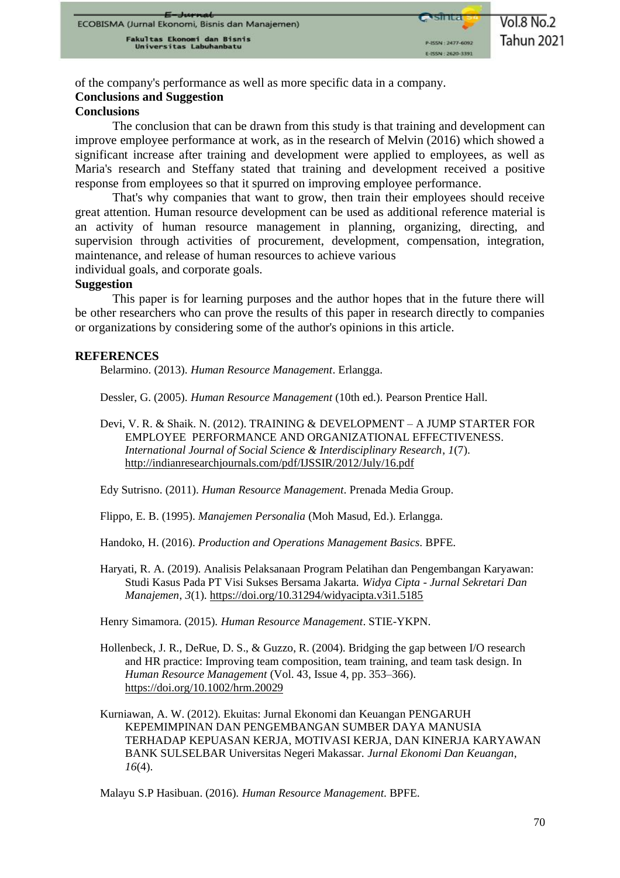of the company's performance as well as more specific data in a company.

# **Conclusions and Suggestion**

### **Conclusions**

The conclusion that can be drawn from this study is that training and development can improve employee performance at work, as in the research of Melvin (2016) which showed a significant increase after training and development were applied to employees, as well as Maria's research and Steffany stated that training and development received a positive response from employees so that it spurred on improving employee performance.

That's why companies that want to grow, then train their employees should receive great attention. Human resource development can be used as additional reference material is an activity of human resource management in planning, organizing, directing, and supervision through activities of procurement, development, compensation, integration, maintenance, and release of human resources to achieve various

individual goals, and corporate goals.

### **Suggestion**

This paper is for learning purposes and the author hopes that in the future there will be other researchers who can prove the results of this paper in research directly to companies or organizations by considering some of the author's opinions in this article.

#### **REFERENCES**

Belarmino. (2013). *Human Resource Management*. Erlangga.

Dessler, G. (2005). *Human Resource Management* (10th ed.). Pearson Prentice Hall.

Devi, V. R. & Shaik. N. (2012). TRAINING & DEVELOPMENT – A JUMP STARTER FOR EMPLOYEE PERFORMANCE AND ORGANIZATIONAL EFFECTIVENESS. *International Journal of Social Science & Interdisciplinary Research*, *1*(7). <http://indianresearchjournals.com/pdf/IJSSIR/2012/July/16.pdf>

Edy Sutrisno. (2011). *Human Resource Management*. Prenada Media Group.

Flippo, E. B. (1995). *Manajemen Personalia* (Moh Masud, Ed.). Erlangga.

Handoko, H. (2016). *Production and Operations Management Basics*. BPFE.

Haryati, R. A. (2019). Analisis Pelaksanaan Program Pelatihan dan Pengembangan Karyawan: Studi Kasus Pada PT Visi Sukses Bersama Jakarta. *Widya Cipta - Jurnal Sekretari Dan Manajemen*, *3*(1).<https://doi.org/10.31294/widyacipta.v3i1.5185>

Henry Simamora. (2015). *Human Resource Management*. STIE-YKPN.

- Hollenbeck, J. R., DeRue, D. S., & Guzzo, R. (2004). Bridging the gap between I/O research and HR practice: Improving team composition, team training, and team task design. In *Human Resource Management* (Vol. 43, Issue 4, pp. 353–366). <https://doi.org/10.1002/hrm.20029>
- Kurniawan, A. W. (2012). Ekuitas: Jurnal Ekonomi dan Keuangan PENGARUH KEPEMIMPINAN DAN PENGEMBANGAN SUMBER DAYA MANUSIA TERHADAP KEPUASAN KERJA, MOTIVASI KERJA, DAN KINERJA KARYAWAN BANK SULSELBAR Universitas Negeri Makassar. *Jurnal Ekonomi Dan Keuangan*, *16*(4).

Malayu S.P Hasibuan. (2016). *Human Resource Management*. BPFE.